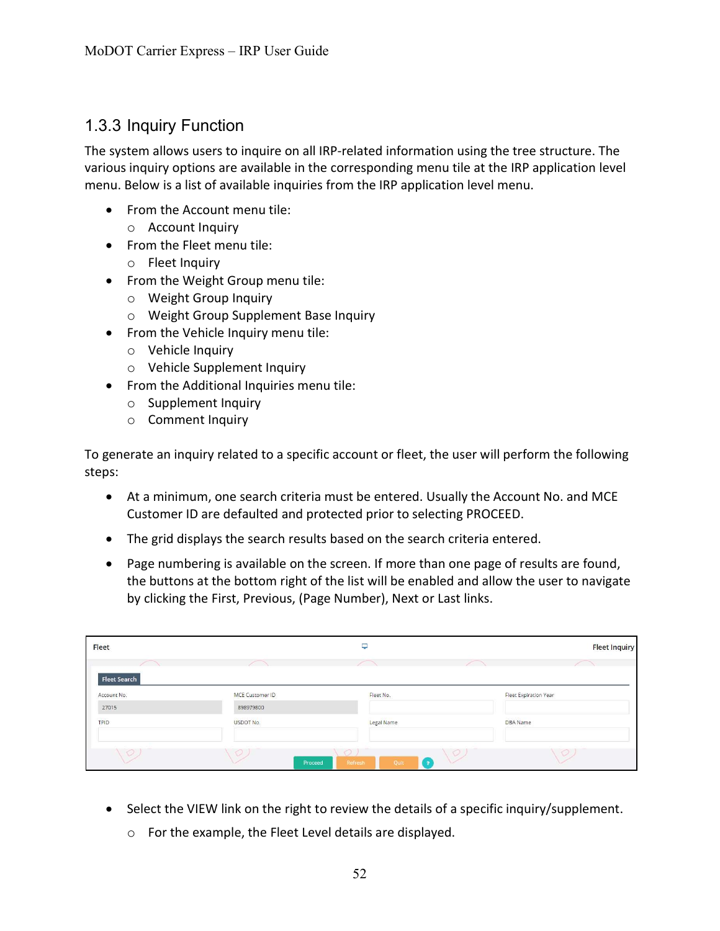## 1.3.3 Inquiry Function

The system allows users to inquire on all IRP-related information using the tree structure. The various inquiry options are available in the corresponding menu tile at the IRP application level menu. Below is a list of available inquiries from the IRP application level menu.

- From the Account menu tile: o Account Inquiry
- From the Fleet menu tile:
	- o Fleet Inquiry
- From the Weight Group menu tile:
	- o Weight Group Inquiry
	- o Weight Group Supplement Base Inquiry
- From the Vehicle Inquiry menu tile:
	- o Vehicle Inquiry
	- o Vehicle Supplement Inquiry
- From the Additional Inquiries menu tile:
	- o Supplement Inquiry
	- o Comment Inquiry

To generate an inquiry related to a specific account or fleet, the user will perform the following steps:

- At a minimum, one search criteria must be entered. Usually the Account No. and MCE Customer ID are defaulted and protected prior to selecting PROCEED.
- The grid displays the search results based on the search criteria entered.
- Page numbering is available on the screen. If more than one page of results are found, the buttons at the bottom right of the list will be enabled and allow the user to navigate by clicking the First, Previous, (Page Number), Next or Last links.

| Fleet                              |                 | ٥               |                       | <b>Fleet Inquiry</b> |
|------------------------------------|-----------------|-----------------|-----------------------|----------------------|
|                                    |                 |                 |                       |                      |
| <b>Fleet Search</b><br>Account No. | MCE Customer ID | Fleet No.       | Fleet Expiration Year |                      |
| 27015                              | 898979800       |                 |                       |                      |
| TPID                               | USDOT No.       | Legal Name      | <b>DBA</b> Name       |                      |
| $\circ$                            | $\circ$         | $\circ$         | $\circ$               | $\circ$              |
|                                    | Proceed         | Quit<br>Refresh |                       |                      |

- Select the VIEW link on the right to review the details of a specific inquiry/supplement.
	- o For the example, the Fleet Level details are displayed.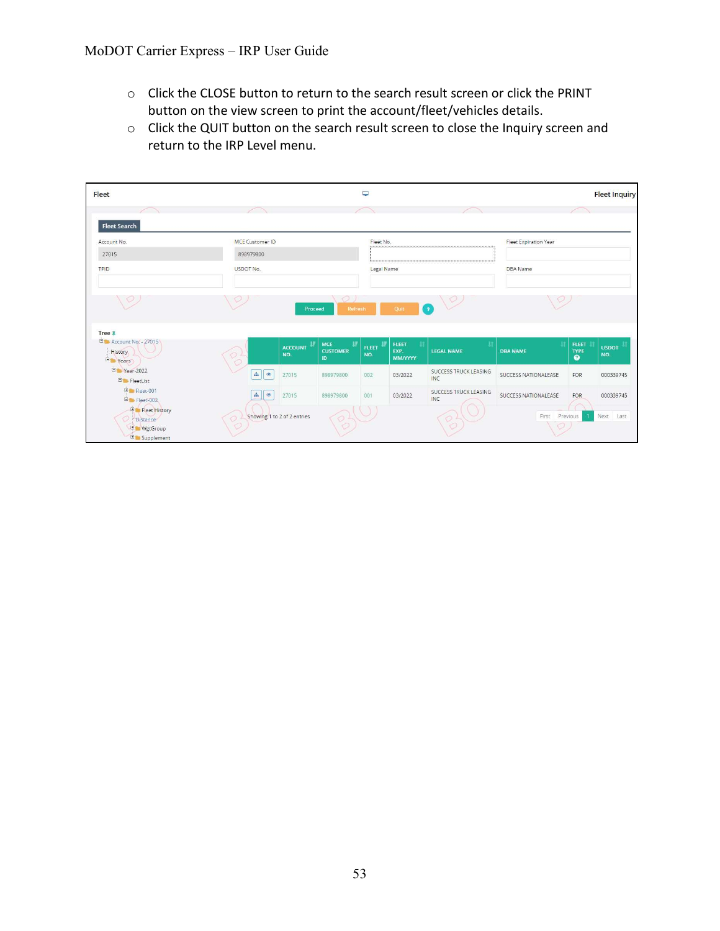- o Click the CLOSE button to return to the search result screen or click the PRINT button on the view screen to print the account/fleet/vehicles details.
- o Click the QUIT button on the search result screen to close the Inquiry screen and return to the IRP Level menu.

| Fleet                                                                  |                             |                       |                                   | پ                      |                                              |                                     |                                 |                                          | <b>Fleet Inquiry</b> |
|------------------------------------------------------------------------|-----------------------------|-----------------------|-----------------------------------|------------------------|----------------------------------------------|-------------------------------------|---------------------------------|------------------------------------------|----------------------|
| <b>Fleet Search</b>                                                    |                             |                       |                                   |                        |                                              |                                     |                                 |                                          |                      |
| Account No.                                                            | <b>MCE</b> Customer ID      |                       |                                   | Fleet No.              |                                              |                                     | Fleet Expiration Year           |                                          |                      |
| 27015                                                                  | 898979800                   |                       |                                   |                        |                                              |                                     |                                 |                                          |                      |
| TPID                                                                   | USDOT No.                   |                       |                                   | Legal Name             |                                              |                                     | <b>DBA</b> Name                 |                                          |                      |
|                                                                        |                             | Proceed               | Refresh                           |                        | Quit                                         | (?)                                 |                                 |                                          |                      |
| Tree #<br>Account No. - 27015<br><b>History</b><br>El Years            | $\circ$                     | <b>ACCOUNT</b><br>NO. | MCE<br>Ħ<br><b>CUSTOMER</b><br>ID | <b>FLEET II</b><br>NO. | <b>FLEET</b><br>11<br>EXP.<br><b>MM/YYYY</b> | <b>LEGAL NAME</b>                   | $\mathbf{H}$<br><b>DBA NAME</b> | <b>FLEET</b><br><b>TYPE</b><br>$\bullet$ | <b>USDOT</b><br>NO.  |
| P Year-2022<br><b>Electer</b> FleetList                                | <b>da (</b> $\bullet$       | 27015                 | 898979800                         | 002                    | 03/2022                                      | SUCCESS TRUCK LEASING<br><b>INC</b> | SUCCESS NATIONALEASE            | FOR                                      | 000339745            |
| El Fleet-001<br>Elect-002                                              | $\circ$<br>$d\mathbf{a}$    | 27015                 | 898979800                         | 001                    | 03/2022                                      | SUCCESS TRUCK LEASING<br>INC        | SUCCESS NATIONALEASE            | FOR                                      | 000339745            |
| Fleet History<br>Distance<br><b>El WgtGroup</b><br><b>E</b> Supplement | Showing 1 to 2 of 2 entries |                       |                                   |                        |                                              |                                     | First                           | Previous                                 | Next Last            |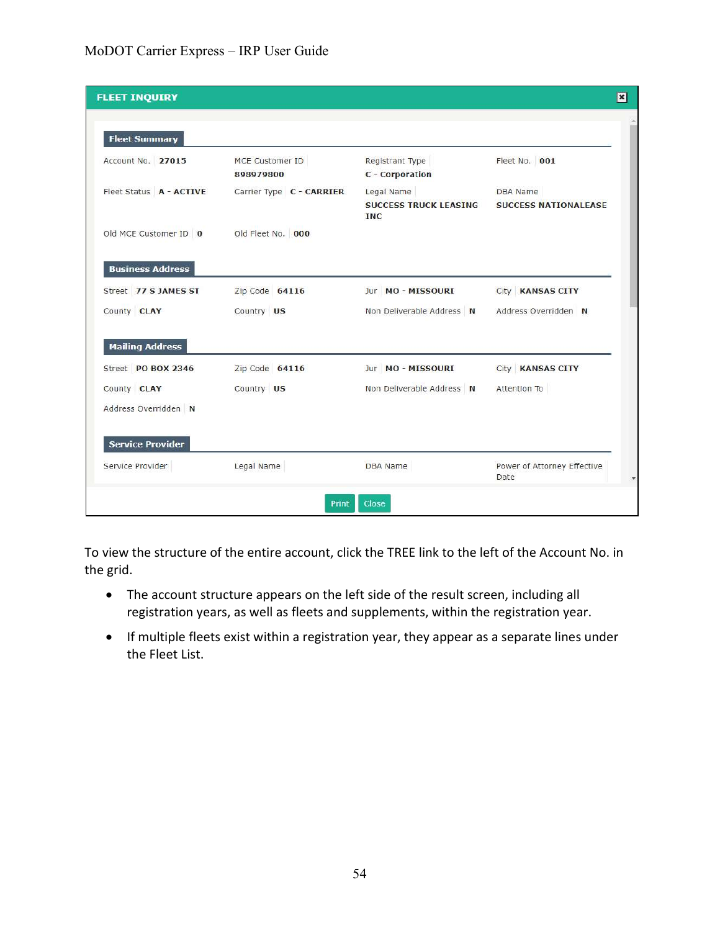## MoDOT Carrier Express – IRP User Guide

| <b>FLEET INQUIRY</b>    |                              |                                                          |                                                | $\boxed{\mathbf{x}}$ |
|-------------------------|------------------------------|----------------------------------------------------------|------------------------------------------------|----------------------|
| <b>Fleet Summary</b>    |                              |                                                          |                                                |                      |
| Account No. 27015       | MCE Customer ID<br>898979800 | Registrant Type<br>C - Corporation                       | Fleet No. 001                                  |                      |
| Fleet Status A - ACTIVE | Carrier Type C - CARRIER     | Legal Name<br><b>SUCCESS TRUCK LEASING</b><br><b>INC</b> | <b>DBA</b> Name<br><b>SUCCESS NATIONALEASE</b> |                      |
| Old MCE Customer ID 0   | Old Fleet No. 000            |                                                          |                                                |                      |
| <b>Business Address</b> |                              |                                                          |                                                |                      |
| Street 77 S JAMES ST    | Zip Code 64116               | Jur MO - MISSOURI                                        | City KANSAS CITY                               |                      |
| County CLAY             | Country US                   | Non Deliverable Address N                                | Address Overridden N                           |                      |
| <b>Mailing Address</b>  |                              |                                                          |                                                |                      |
| Street PO BOX 2346      | Zip Code 64116               | Jur MO - MISSOURI                                        | City KANSAS CITY                               |                      |
| County CLAY             | Country US                   | Non Deliverable Address N                                | Attention To                                   |                      |
| Address Overridden N    |                              |                                                          |                                                |                      |
| <b>Service Provider</b> |                              |                                                          |                                                |                      |
| Service Provider        | Legal Name                   | <b>DBA</b> Name                                          | Power of Attorney Effective<br>Date            | ¥                    |
|                         | Print                        | <b>Close</b>                                             |                                                |                      |

To view the structure of the entire account, click the TREE link to the left of the Account No. in the grid.

- The account structure appears on the left side of the result screen, including all registration years, as well as fleets and supplements, within the registration year.
- If multiple fleets exist within a registration year, they appear as a separate lines under the Fleet List.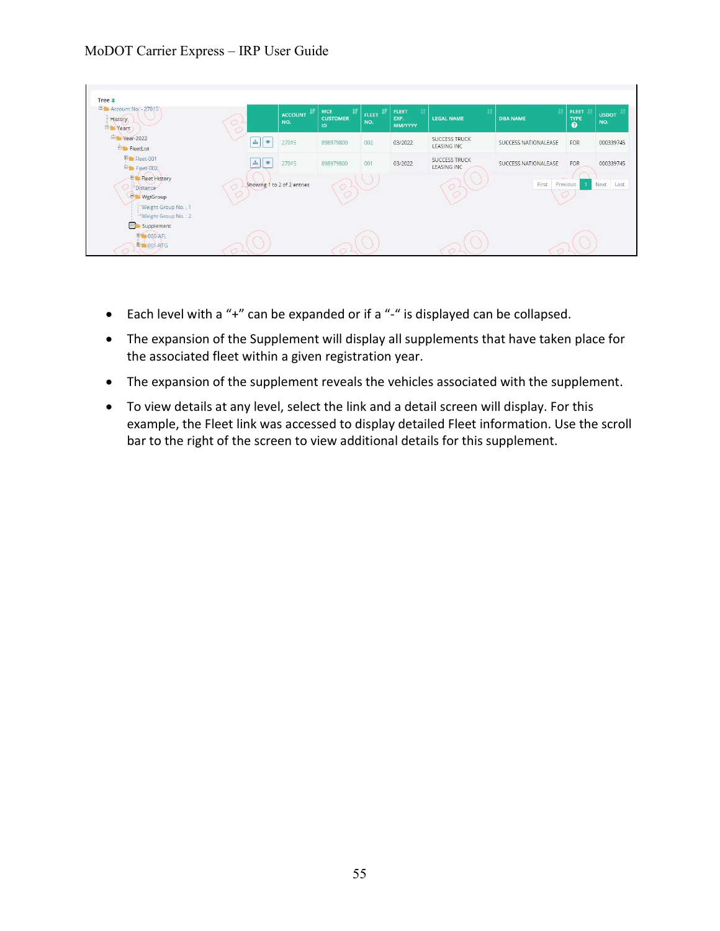## MoDOT Carrier Express – IRP User Guide

| <b>B</b> Account No. - 27015<br>History<br><b>Er</b> Years                                                              | $O+$                              | <b>ACCOUNT</b><br>NO.       | <b>MCE</b><br><b>CUSTOMER</b><br>ID | FLEET<br>NO. | <b>FLEET</b><br>EXP.<br><b>MM/YYYY</b> | <b>LEGAL NAME</b>                          | <b>DBA NAME</b>      | <b>FLEET</b><br>TYPE | <b>USDOT</b><br>NO. |
|-------------------------------------------------------------------------------------------------------------------------|-----------------------------------|-----------------------------|-------------------------------------|--------------|----------------------------------------|--------------------------------------------|----------------------|----------------------|---------------------|
| Pr Year-2022<br>$\dot{\boxplus}$ FleetList                                                                              | $\Delta$<br>$\qquad \qquad \circ$ | 27015                       | 898979800                           | 002          | 03/2022                                | <b>SUCCESS TRUCK</b><br><b>LEASING INC</b> | SUCCESS NATIONALEASE | FOR                  | 000339745           |
| Er Fleet-001<br>Er Fleet-002                                                                                            | 击<br>$\circ$                      | 27015                       | 898979800                           | 001          | 03/2022                                | <b>SUCCESS TRUCK</b><br><b>LEASING INC</b> | SUCCESS NATIONALEASE | FOR                  | 000339745           |
| <b>Fig. Fleet History</b><br><i><b>Distance</b></i><br><b>E</b> WgtGroup<br>Weight Group No.: 1<br>-Weight Group No.: 2 | $\circ$                           | Showing 1 to 2 of 2 entries |                                     |              |                                        |                                            | First                | Previous             | Next Last           |
| Supplement<br><b>DE 000-AFL</b><br><b>ED-001-RTG</b>                                                                    |                                   |                             |                                     |              |                                        |                                            |                      |                      |                     |

- Each level with a "+" can be expanded or if a "-" is displayed can be collapsed.
- The expansion of the Supplement will display all supplements that have taken place for the associated fleet within a given registration year.
- The expansion of the supplement reveals the vehicles associated with the supplement.
- To view details at any level, select the link and a detail screen will display. For this example, the Fleet link was accessed to display detailed Fleet information. Use the scroll bar to the right of the screen to view additional details for this supplement.